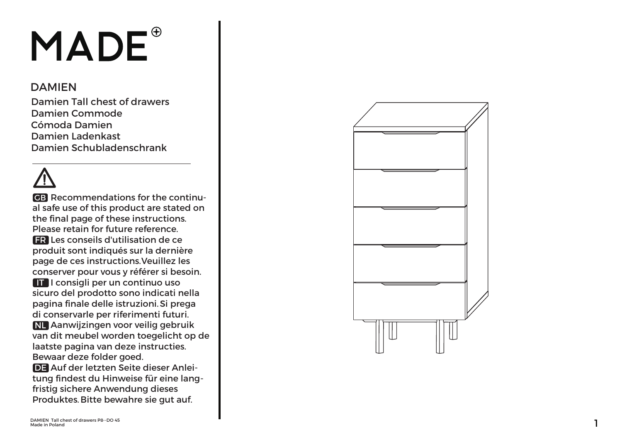# MADE<sup>®</sup>

#### **DAMIEN**

 Damien Tall chest of drawersDamien CommodeCómoda Damien Damien LadenkastDamien Schubladenschrank

**GB** Recommendations for the continual safe use of this product are stated on the final page of these instructions.Please retain for future reference. $\textsf{FR}$  Les conseils d'utilisation de ce produit sont indiqués sur la dernière page de ces instructions.Veuillez les conserver pour vous y référer si besoin. $\Pi$  I consigli per un continuo uso sicuro del prodotto sono indicati nella pagina finale delle istruzioni. Si prega di conservarle per riferimenti futuri.NL Aanwijzingen voor veilig gebruik van dit meubel worden toegelicht op de laatste pagina van deze instructies.Bewaar deze folder goed.DE Auf der letzten Seite dieser Anleitung findest du Hinweise für eine lang fristig sichere Anwendung diesesProduktes. Bitte bewahre sie gut auf.

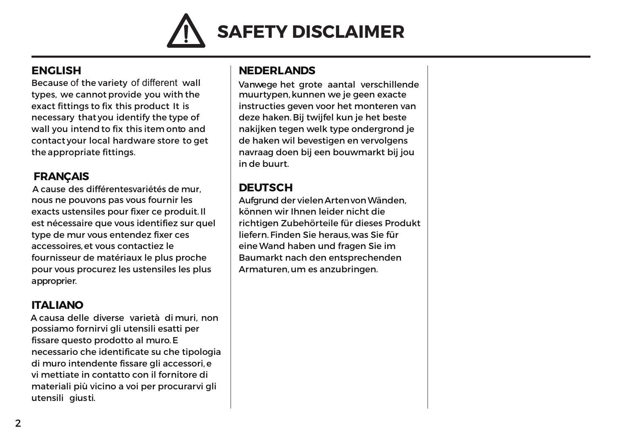

#### **ENGLISH**

 Because of the variety of different wall types, we cannot provide you with theexact fittings to fix this product It is necessary that you identify the type ofwall you intend to fix this item onto and contact your local hardware store to getthe appropriate fittings.

#### **FRANÇAIS**

 <sup>A</sup> cause des différentesvariétés de mur, nous ne pouvons pas vous fournir les exacts ustensiles pour fixer ce produit. Ilest nécessaire que vous identifiez sur queltype de mur vous entendez fixer cesaccessoires, et vous contactiez le fournisseur de matériaux le plus proche pour vous procurez les ustensiles les plusapproprier.

#### **ITALIANO**

 <sup>A</sup> causa delle diverse varietà di muri, nonpossiamo fornirvi gli utensili esatti perfissare questo prodotto al muro. <sup>E</sup> necessario che identificate su che tipologiadi muro intendente fissare gli accessori, <sup>e</sup> vi mettiate in contatto con il fornitore dimateriali più vicino a voi per procurarvi gliutensili giusti.

#### **NEDERLANDS**

 Vanwege het grote aantal verschillendemuurtypen, kunnen we je geen exacte instructies geven voor het monteren vandeze haken. Bij twijfel kun je het beste nakijken tegen welk type ondergrond je de haken wil bevestigen en vervolgens navraag doen bij een bouwmarkt bij jouin de buurt.

#### **DEUTSCH**

 Aufgrund der vielen ArtenvonWänden, können wir Ihnen leider nicht die richtigen Zubehörteile für dieses Produktliefern. Finden Sie heraus,was Sie für eine Wand haben und fragen Sie im Baumarkt nach den entsprechendenArmaturen, um es anzubringen.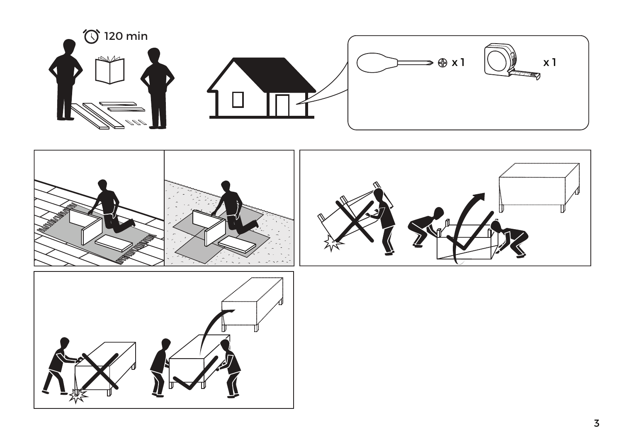





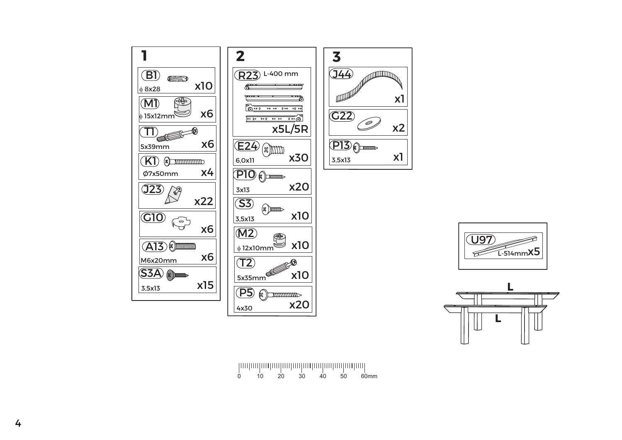## 0 10 20 <sup>30</sup> <sup>40</sup> <sup>50</sup> 60mm







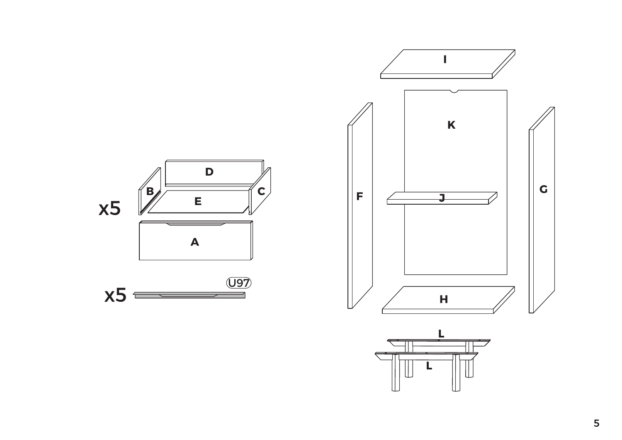

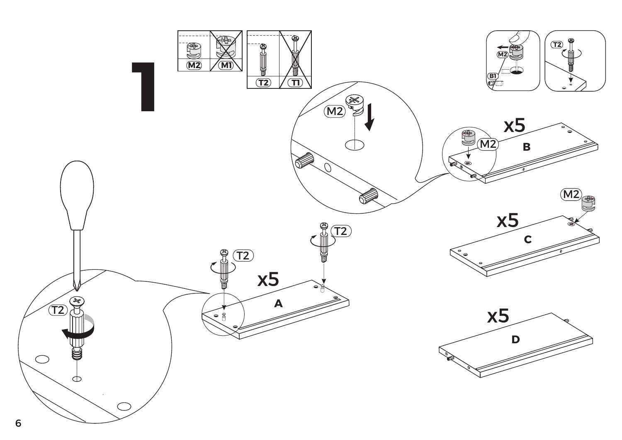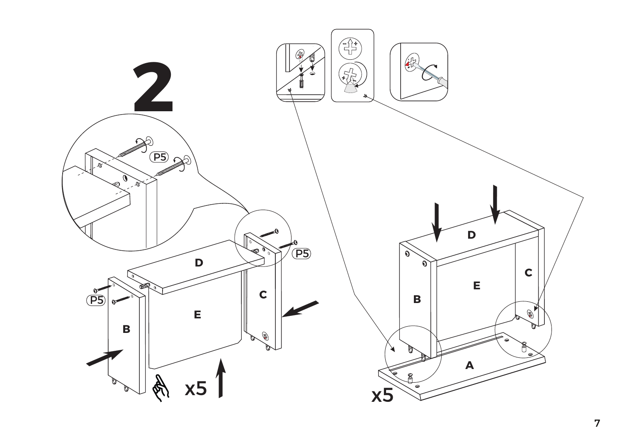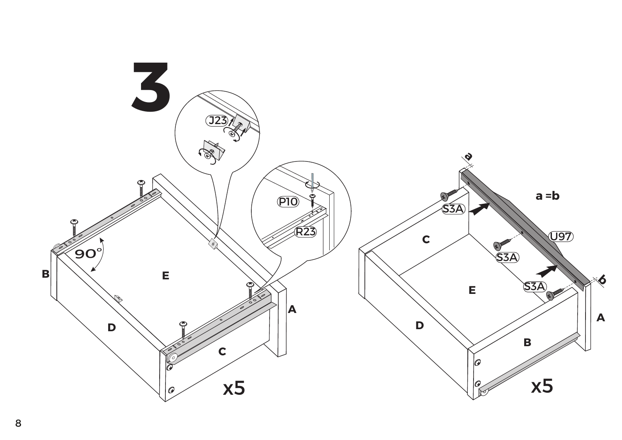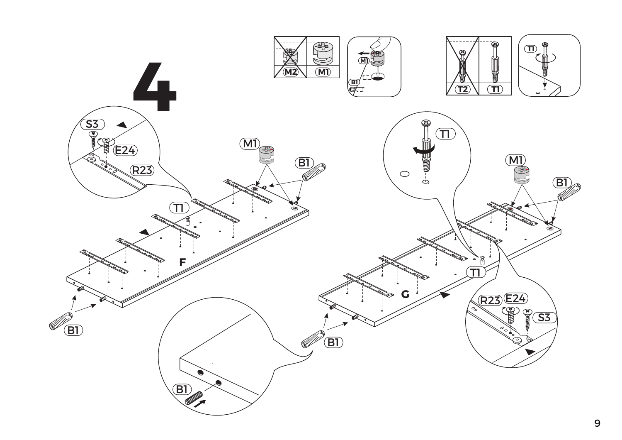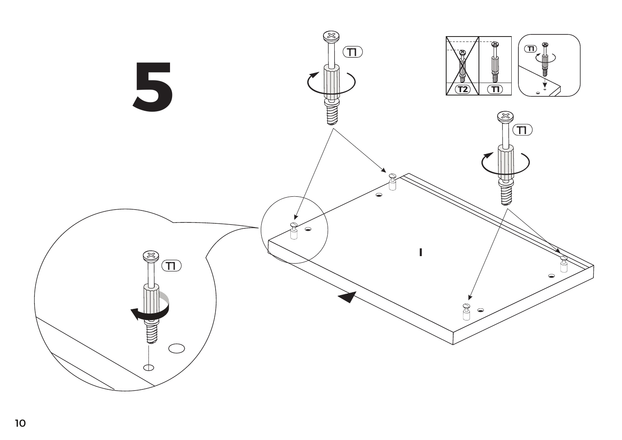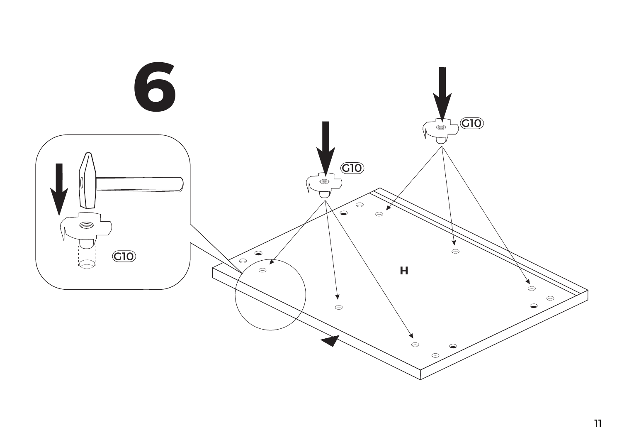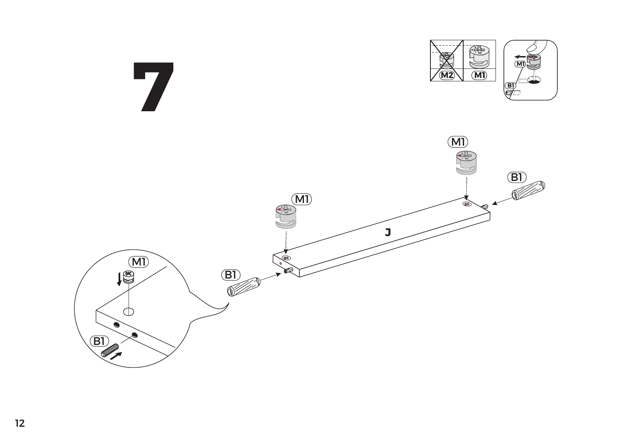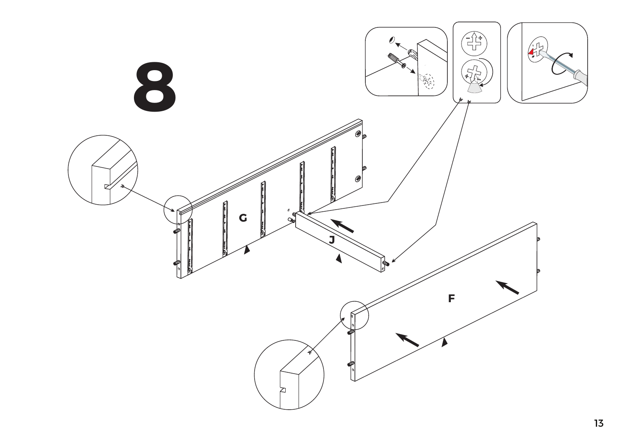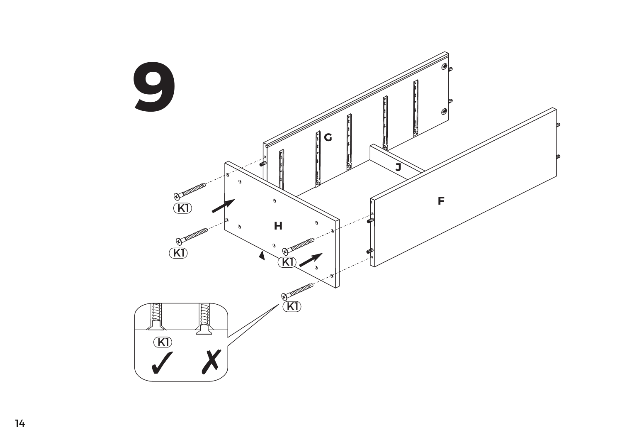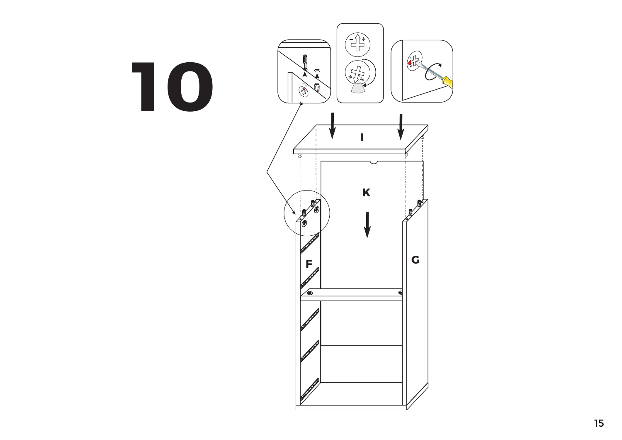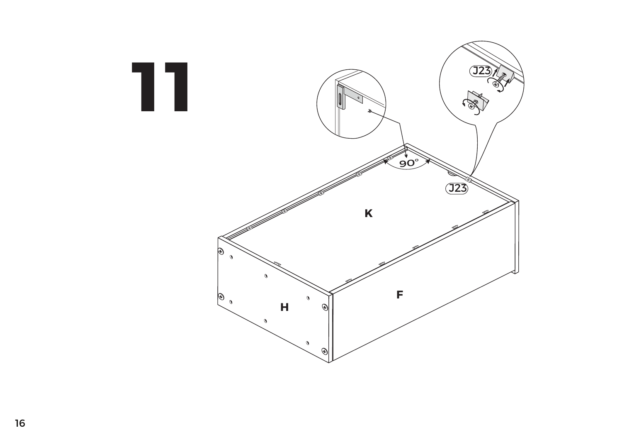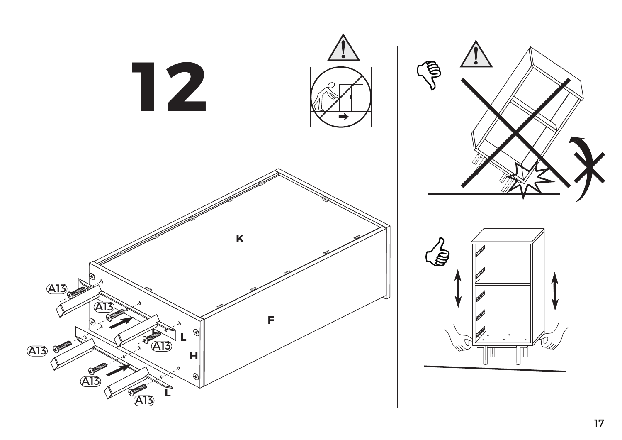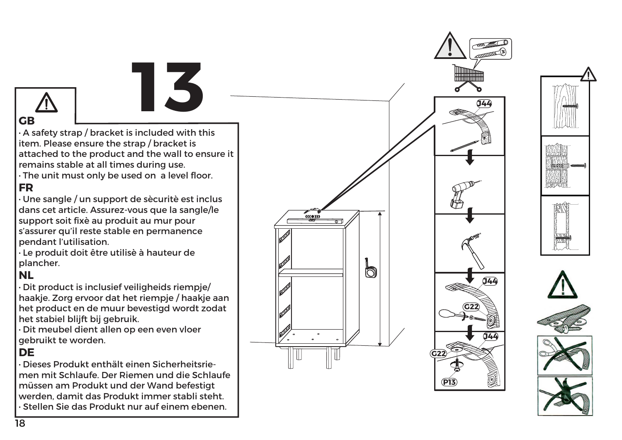attached to the product and the wall to ensure it **·** A safety strap / bracket is included with thisitem. Please ensure the strap / bracket isremains stable at all times during use.

**13**

 **·**The unit must only be used on a level floor.**FR**

#### **·**Une sangle / un support de sècuritè est inclus dans cet article. Assurez-vous que la sangle/lesupport soit fixè au produit au mur pour s'assurer qu'il reste stable en permanencependant l'utilisation.

**·** Le produit doit être utilisè à hauteur deplancher.

### **NL**

**GB**

**·**Dit product is inclusief veiligheids riempje/ haakje. Zorg ervoor dat het riempje / haakje aan het product en de muur bevestigd wordt zodathet stabiel blijft bij gebruik.

**·**Dit meubel dient allen op een even vloergebruikt te worden.

#### **DE**

**·**Dieses Produkt enthält einen Sicherheitsrie men mit Schlaufe. Der Riemen und die Schlaufe**·** Stellen Sie das Produkt nur auf einem ebenen.müssen am Produkt und der Wand befestigtwerden, damit das Produkt immer stabli steht.





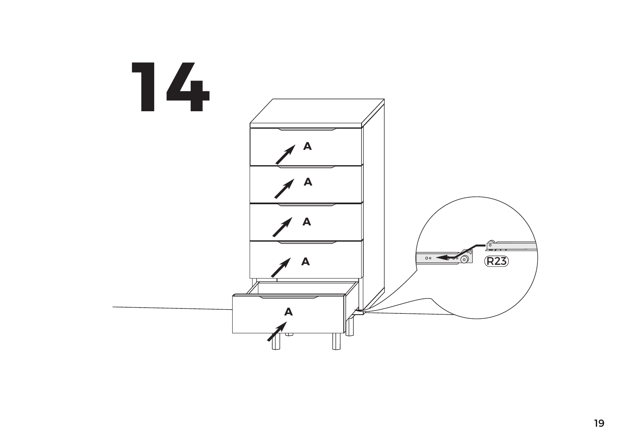